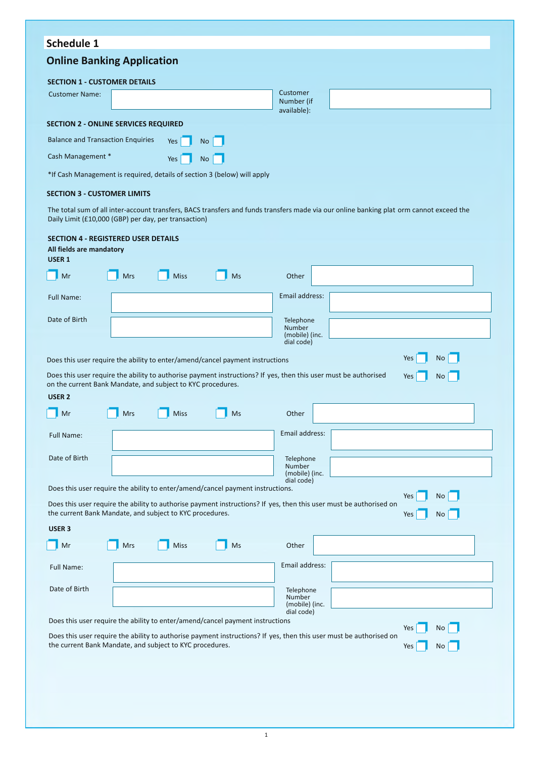# **Schedule 1**

# **Online Banking Application**

| <b>SECTION 1 - CUSTOMER DETAILS</b>                                      |  |     |                |  |                                       |  |  |  |
|--------------------------------------------------------------------------|--|-----|----------------|--|---------------------------------------|--|--|--|
| <b>Customer Name:</b>                                                    |  |     |                |  | Customer<br>Number (if<br>available): |  |  |  |
| <b>SECTION 2 - ONLINE SERVICES REQUIRED</b>                              |  |     |                |  |                                       |  |  |  |
| <b>Balance and Transaction Enquiries</b><br>No I<br>Yes                  |  |     |                |  |                                       |  |  |  |
| Cash Management *                                                        |  | Yes | N <sub>O</sub> |  |                                       |  |  |  |
| *If Cash Management is required, details of section 3 (below) will apply |  |     |                |  |                                       |  |  |  |

#### **SECTION 3 - CUSTOMER LIMITS**

The total sum of all inter-account transfers, BACS transfers and funds transfers made via our online banking plat orm cannot exceed the Daily Limit (£10,000 (GBP) per day, per transaction)

| <b>SECTION 4 - REGISTERED USER DETAILS</b><br>All fields are mandatory<br><b>USER 1</b>                                                                                                                         |            |             |    |                                                     |  |  |
|-----------------------------------------------------------------------------------------------------------------------------------------------------------------------------------------------------------------|------------|-------------|----|-----------------------------------------------------|--|--|
| Mr                                                                                                                                                                                                              | <b>Mrs</b> | <b>Miss</b> | Ms | Other                                               |  |  |
| <b>Full Name:</b>                                                                                                                                                                                               |            |             |    | Email address:                                      |  |  |
| Date of Birth                                                                                                                                                                                                   |            |             |    | Telephone<br>Number<br>(mobile) (inc.<br>dial code) |  |  |
| Yes<br><b>No</b><br>Does this user require the ability to enter/amend/cancel payment instructions                                                                                                               |            |             |    |                                                     |  |  |
| Does this user require the ability to authorise payment instructions? If yes, then this user must be authorised<br>Yes<br><b>No</b><br>on the current Bank Mandate, and subject to KYC procedures.              |            |             |    |                                                     |  |  |
| <b>USER 2</b>                                                                                                                                                                                                   |            |             |    |                                                     |  |  |
| Mr                                                                                                                                                                                                              | <b>Mrs</b> | <b>Miss</b> | Ms | Other                                               |  |  |
| Full Name:                                                                                                                                                                                                      |            |             |    | Email address:                                      |  |  |
| Date of Birth                                                                                                                                                                                                   |            |             |    | Telephone<br>Number<br>(mobile) (inc.               |  |  |
| dial code)<br>Does this user require the ability to enter/amend/cancel payment instructions.                                                                                                                    |            |             |    |                                                     |  |  |
| Yes<br><b>No</b><br>Does this user require the ability to authorise payment instructions? If yes, then this user must be authorised on<br>the current Bank Mandate, and subject to KYC procedures.<br>Yes<br>No |            |             |    |                                                     |  |  |
| USER <sub>3</sub>                                                                                                                                                                                               |            |             |    |                                                     |  |  |
| Mr                                                                                                                                                                                                              | Mrs        | Miss        | Ms | Other                                               |  |  |
| Full Name:                                                                                                                                                                                                      |            |             |    | Email address:                                      |  |  |
| Date of Birth                                                                                                                                                                                                   |            |             |    | Telephone<br>Number<br>(mobile) (inc.<br>dial code) |  |  |
| Does this user require the ability to enter/amend/cancel payment instructions<br>Yes<br>No                                                                                                                      |            |             |    |                                                     |  |  |
| Does this user require the ability to authorise payment instructions? If yes, then this user must be authorised on<br>the current Bank Mandate, and subject to KYC procedures.<br>Yes<br>No                     |            |             |    |                                                     |  |  |
|                                                                                                                                                                                                                 |            |             |    |                                                     |  |  |
|                                                                                                                                                                                                                 |            |             |    |                                                     |  |  |
|                                                                                                                                                                                                                 |            |             |    |                                                     |  |  |